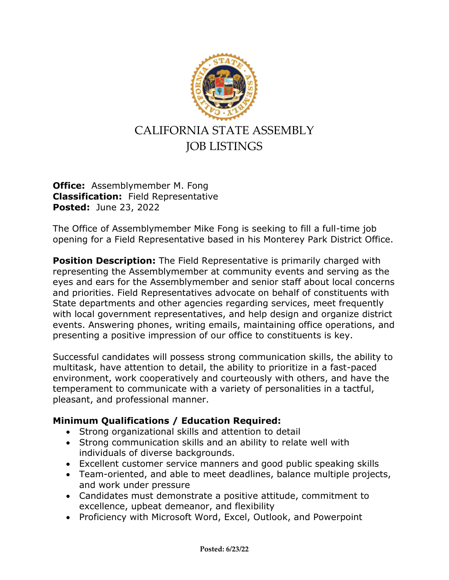

## JOB LISTINGS

**Office:** Assemblymember M. Fong **Classification:** Field Representative **Posted:** June 23, 2022

The Office of Assemblymember Mike Fong is seeking to fill a full-time job opening for a Field Representative based in his Monterey Park District Office.

**Position Description:** The Field Representative is primarily charged with representing the Assemblymember at community events and serving as the eyes and ears for the Assemblymember and senior staff about local concerns and priorities. Field Representatives advocate on behalf of constituents with State departments and other agencies regarding services, meet frequently with local government representatives, and help design and organize district events. Answering phones, writing emails, maintaining office operations, and presenting a positive impression of our office to constituents is key.

Successful candidates will possess strong communication skills, the ability to multitask, have attention to detail, the ability to prioritize in a fast-paced environment, work cooperatively and courteously with others, and have the temperament to communicate with a variety of personalities in a tactful, pleasant, and professional manner.

## **Minimum Qualifications / Education Required:**

- Strong organizational skills and attention to detail
- Strong communication skills and an ability to relate well with individuals of diverse backgrounds.
- Excellent customer service manners and good public speaking skills
- Team-oriented, and able to meet deadlines, balance multiple projects, and work under pressure
- Candidates must demonstrate a positive attitude, commitment to excellence, upbeat demeanor, and flexibility
- Proficiency with Microsoft Word, Excel, Outlook, and Powerpoint